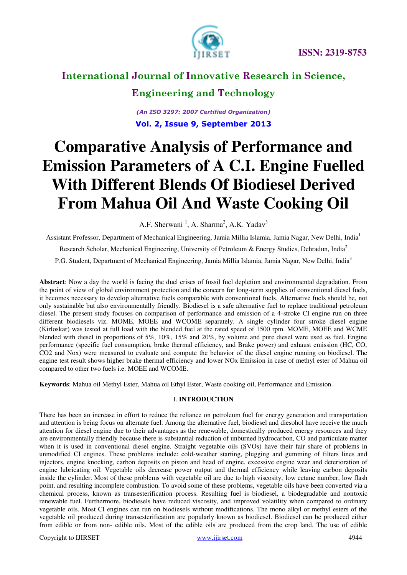

### **Engineering and Technology**

*(An ISO 3297: 2007 Certified Organization)*  **Vol. 2, Issue 9, September 2013**

# **Comparative Analysis of Performance and Emission Parameters of A C.I. Engine Fuelled With Different Blends Of Biodiesel Derived From Mahua Oil And Waste Cooking Oil**

A.F. Sherwani<sup>1</sup>, A. Sharma<sup>2</sup>, A.K. Yadav<sup>3</sup>

Assistant Professor, Department of Mechanical Engineering, Jamia Millia Islamia, Jamia Nagar, New Delhi, India<sup>1</sup>

Research Scholar, Mechanical Engineering, University of Petroleum & Energy Studies, Dehradun, India<sup>2</sup>

P.G. Student, Department of Mechanical Engineering, Jamia Millia Islamia, Jamia Nagar, New Delhi, India<sup>3</sup>

**Abstract**: Now a day the world is facing the duel crises of fossil fuel depletion and environmental degradation. From the point of view of global environment protection and the concern for long-term supplies of conventional diesel fuels, it becomes necessary to develop alternative fuels comparable with conventional fuels. Alternative fuels should be, not only sustainable but also environmentally friendly. Biodiesel is a safe alternative fuel to replace traditional petroleum diesel. The present study focuses on comparison of performance and emission of a 4-stroke CI engine run on three different biodiesels viz. MOME, MOEE and WCOME separately. A single cylinder four stroke diesel engine (Kirloskar) was tested at full load with the blended fuel at the rated speed of 1500 rpm. MOME, MOEE and WCME blended with diesel in proportions of 5%, 10%, 15% and 20%, by volume and pure diesel were used as fuel. Engine performance (specific fuel consumption, brake thermal efficiency, and Brake power) and exhaust emission (HC, CO, CO2 and Nox) were measured to evaluate and compute the behavior of the diesel engine running on biodiesel. The engine test result shows higher brake thermal efficiency and lower NOx Emission in case of methyl ester of Mahua oil compared to other two fuels i.e. MOEE and WCOME.

**Keywords**: Mahua oil Methyl Ester, Mahua oil Ethyl Ester, Waste cooking oil, Performance and Emission.

#### I. **INTRODUCTION**

There has been an increase in effort to reduce the reliance on petroleum fuel for energy generation and transportation and attention is being focus on alternate fuel. Among the alternative fuel, biodiesel and diesohol have receive the much attention for diesel engine due to their advantages as the renewable, domestically produced energy resources and they are environmentally friendly because there is substantial reduction of unburned hydrocarbon, CO and particulate matter when it is used in conventional diesel engine. Straight vegetable oils (SVOs) have their fair share of problems in unmodified CI engines. These problems include: cold-weather starting, plugging and gumming of filters lines and injectors, engine knocking, carbon deposits on piston and head of engine, excessive engine wear and deterioration of engine lubricating oil. Vegetable oils decrease power output and thermal efficiency while leaving carbon deposits inside the cylinder. Most of these problems with vegetable oil are due to high viscosity, low cetane number, low flash point, and resulting incomplete combustion. To avoid some of these problems, vegetable oils have been converted via a chemical process, known as transesterification process. Resulting fuel is biodiesel, a biodegradable and nontoxic renewable fuel. Furthermore, biodiesels have reduced viscosity, and improved volatility when compared to ordinary vegetable oils. Most CI engines can run on biodiesels without modifications. The mono alkyl or methyl esters of the vegetable oil produced during transesterification are popularly known as biodiesel. Biodiesel can be produced either from edible or from non- edible oils. Most of the edible oils are produced from the crop land. The use of edible

Copyright to IJIRSET www.ijirset.com www.ijirset.com 4944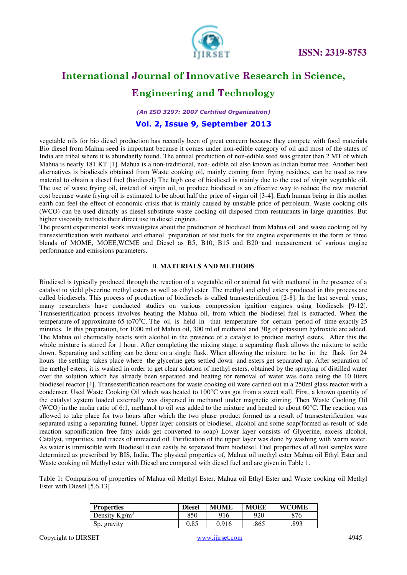

### **Engineering and Technology**

*(An ISO 3297: 2007 Certified Organization)* 

#### **Vol. 2, Issue 9, September 2013**

vegetable oils for bio diesel production has recently been of great concern because they compete with food materials Bio diesel from Mahua seed is important because it comes under non-edible category of oil and most of the states of India are tribal where it is abundantly found. The annual production of non-edible seed was greater than 2 MT of which Mahua is nearly 181 KT [1]. Mahua is a non-traditional, non- edible oil also known as Indian butter tree. Another best alternatives is biodiesels obtained from Waste cooking oil, mainly coming from frying residues, can be used as raw material to obtain a diesel fuel (biodiesel) The high cost of biodiesel is mainly due to the cost of virgin vegetable oil. The use of waste frying oil, instead of virgin oil, to produce biodiesel is an effective way to reduce the raw material cost because waste frying oil is estimated to be about half the price of virgin oil [3-4]. Each human being in this mother earth can feel the effect of economic crisis that is mainly caused by unstable price of petroleum. Waste cooking oils (WCO) can be used directly as diesel substitute waste cooking oil disposed from restaurants in large quantities. But higher viscosity restricts their direct use in diesel engines.

The present experimental work investigates about the production of biodiesel from Mahua oil and waste cooking oil by transesterification with methanol and ethanol preparation of test fuels for the engine experiments in the form of three blends of MOME, MOEE,WCME and Diesel as B5, B10, B15 and B20 and measurement of various engine performance and emissions parameters.

#### II. **MATERIALS AND METHODS**

Biodiesel is typically produced through the reaction of a vegetable oil or animal fat with methanol in the presence of a catalyst to yield glycerine methyl esters as well as ethyl ester .The methyl and ethyl esters produced in this process are called biodiesels. This process of production of biodiesels is called transesterification [2-8]. In the last several years, many researchers have conducted studies on various compression ignition engines using biodiesels [9-12]. Transesterification process involves heating the Mahua oil, from which the biodiesel fuel is extracted. When the temperature of approximate 65 to70 $\degree$ C. The oil is held in that temperature for certain period of time exactly 25 minutes. In this preparation, for 1000 ml of Mahua oil, 300 ml of methanol and 30g of potassium hydroxide are added. The Mahua oil chemically reacts with alcohol in the presence of a catalyst to produce methyl esters. After this the whole mixture is stirred for 1 hour. After completing the mixing stage, a separating flask allows the mixture to settle down. Separating and settling can be done on a single flask. When allowing the mixture to be in the flask for 24 hours the settling takes place where the glycerine gets settled down and esters get separated up. After separation of the methyl esters, it is washed in order to get clear solution of methyl esters, obtained by the spraying of distilled water over the solution which has already been separated and heating for removal of water was done using the 10 liters biodiesel reactor [4]. Transesterification reactions for waste cooking oil were carried out in a 250ml glass reactor with a condenser. Used Waste Cooking Oil which was heated to 100°C was got from a sweet stall. First, a known quantity of the catalyst system loaded externally was dispersed in methanol under magnetic stirring. Then Waste Cooking Oil (WCO) in the molar ratio of 6:1, methanol to oil was added to the mixture and heated to about  $60^{\circ}$ C. The reaction was allowed to take place for two hours after which the two phase product formed as a result of transesterification was separated using a separating funnel. Upper layer consists of biodiesel, alcohol and some soap(formed as result of side reaction saponification free fatty acids get converted to soap) Lower layer consists of Glycerine, excess alcohol, Catalyst, impurities, and traces of unreacted oil. Purification of the upper layer was done by washing with warm water. As water is immiscible with Biodiesel it can easily be separated from biodiesel. Fuel properties of all test samples were determined as prescribed by BIS, India. The physical properties of, Mahua oil methyl ester Mahua oil Ethyl Ester and Waste cooking oil Methyl ester with Diesel are compared with diesel fuel and are given in Table 1.

Table 1**:** Comparison of properties of Mahua oil Methyl Ester, Mahua oil Ethyl Ester and Waste cooking oil Methyl Ester with Diesel [5,6,13]

| <b>Properties</b> | <b>Diesel</b> | <b>MOME</b> | <b>MOEE</b> | <b>WCOME</b> |
|-------------------|---------------|-------------|-------------|--------------|
| Density $Kg/m^3$  | 850           | 916         | 920         | 876          |
| Sp. gravity       | 0.85          | 0.916       | .865        | .893         |

Copyright to IJIRSET www.ijirset.com www.ijirset.com 4945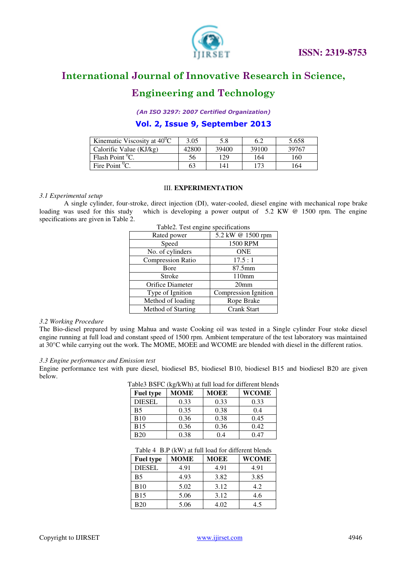

### **Engineering and Technology**

*(An ISO 3297: 2007 Certified Organization)* 

**Vol. 2, Issue 9, September 2013**

| Kinematic Viscosity at $40^{\circ}$ C | 3.05  | 5.8   | 6.2   | 5.658 |
|---------------------------------------|-------|-------|-------|-------|
| Calorific Value (KJ/kg)               | 42800 | 39400 | 39100 | 39767 |
| Flash Point $^0C$ .                   | 56    | 129   | 164   | 160   |
| Fire Point <sup>0</sup> C.            | 63    | 141   | 173   | 164   |

#### III. **EXPERIMENTATION**

#### *3.1 Experimental setup*

A single cylinder, four-stroke, direct injection (DI), water-cooled, diesel engine with mechanical rope brake loading was used for this study which is developing a power output of 5.2 KW @ 1500 rpm. The engine specifications are given in Table 2.

| Rated power              | 5.2 kW @ 1500 rpm    |
|--------------------------|----------------------|
| Speed                    | 1500 RPM             |
| No. of cylinders         | <b>ONE</b>           |
| <b>Compression Ratio</b> | 17.5:1               |
| <b>B</b> ore             | $87.5$ mm            |
| Stroke                   | 110mm                |
| Orifice Diameter         | 20 <sub>mm</sub>     |
| Type of Ignition         | Compression Ignition |
| Method of loading        | Rope Brake           |
| Method of Starting       | Crank Start          |
|                          |                      |

|  | Table2. Test engine specifications |
|--|------------------------------------|
|  |                                    |

#### *3.2 Working Procedure*

The Bio-diesel prepared by using Mahua and waste Cooking oil was tested in a Single cylinder Four stoke diesel engine running at full load and constant speed of 1500 rpm. Ambient temperature of the test laboratory was maintained at 30°C while carrying out the work. The MOME, MOEE and WCOME are blended with diesel in the different ratios.

#### *3.3 Engine performance and Emission test*

Engine performance test with pure diesel, biodiesel B5, biodiesel B10, biodiesel B15 and biodiesel B20 are given below.

| Table3 BSFC (kg/kWh) at full load for different blends |             |             |              |  |
|--------------------------------------------------------|-------------|-------------|--------------|--|
| <b>Fuel type</b>                                       | <b>MOME</b> | <b>MOEE</b> | <b>WCOME</b> |  |
| <b>DIESEL</b>                                          | 0.33        | 0.33        | 0.33         |  |
| <b>B5</b>                                              | 0.35        | 0.38        | 0.4          |  |
| <b>B10</b>                                             | 0.36        | 0.38        | 0.45         |  |
| <b>B15</b>                                             | 0.36        | 0.36        | 0.42         |  |
| <b>B20</b>                                             | 0.38        | 04          | 047          |  |

#### Table 4 B.P (kW) at full load for different blends

| <b>Fuel type</b> | <b>MOME</b> | <b>MOEE</b> | WCOME |
|------------------|-------------|-------------|-------|
| <b>DIESEL</b>    | 4.91        | 4.91        | 4.91  |
| B5               | 4.93        | 3.82        | 3.85  |
| B10              | 5.02        | 3.12        | 4.2   |
| <b>B</b> 15      | 5.06        | 3.12        | 4.6   |
| B20              | 5.06        | 4.02        | 4.5   |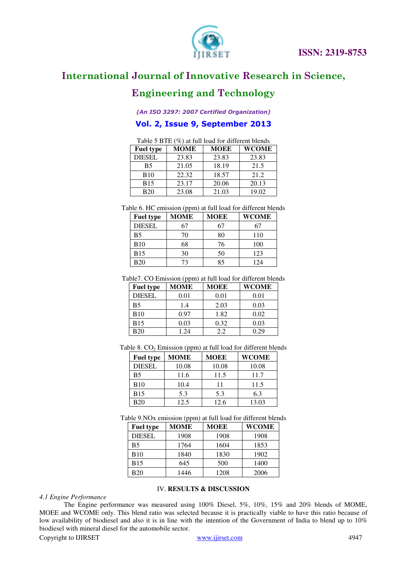

### **Engineering and Technology**

*(An ISO 3297: 2007 Certified Organization)* 

### **Vol. 2, Issue 9, September 2013**

| Table 5 BTE (%) at full load for different blends |             |             |              |
|---------------------------------------------------|-------------|-------------|--------------|
| <b>Fuel type</b>                                  | <b>MOME</b> | <b>MOEE</b> | <b>WCOME</b> |
| <b>DIESEL</b>                                     | 23.83       | 23.83       | 23.83        |
| <b>B5</b>                                         | 21.05       | 18.19       | 21.5         |
| <b>B10</b>                                        | 22.32       | 18.57       | 21.2         |
| <b>B15</b>                                        | 23.17       | 20.06       | 20.13        |
| <b>B20</b>                                        | 23.08       | 21.03       | 19.02        |

Table 6. HC emission (ppm) at full load for different blends

| <b>Fuel type</b> | <b>MOME</b> | <b>MOEE</b> | <b>WCOME</b> |
|------------------|-------------|-------------|--------------|
| <b>DIESEL</b>    | 67          | 67          | 67           |
| B5               | 70          | 80          | 110          |
| <b>B</b> 10      | 68          | 76          | 100          |
| <b>B15</b>       | 30          | 50          | 123          |
| B20              | 73          | 85          | 124          |

Table7. CO Emission (ppm) at full load for different blends

| <b>Fuel type</b> | <b>MOME</b> | <b>MOEE</b> | <b>WCOME</b> |
|------------------|-------------|-------------|--------------|
| <b>DIESEL</b>    | 0.01        | 0.01        | 0.01         |
| <b>B5</b>        | 1.4         | 2.03        | 0.03         |
| <b>B10</b>       | 0.97        | 1.82        | 0.02         |
| <b>B</b> 15      | 0.03        | 0.32        | 0.03         |
| <b>B20</b>       | 1.24        | 2.2         | 0.29         |

Table 8.  $CO<sub>2</sub>$  Emission (ppm) at full load for different blends

| <b>Fuel type</b> | MOME  | <b>MOEE</b> | <b>WCOME</b> |
|------------------|-------|-------------|--------------|
| <b>DIESEL</b>    | 10.08 | 10.08       | 10.08        |
| B5               | 11.6  | 11.5        | 11.7         |
| <b>B10</b>       | 10.4  | 11          | 11.5         |
| <b>B15</b>       | 5.3   | 5.3         | 6.3          |
| <b>B20</b>       | 12.5  | 12.6        | 13.03        |

Table 9.NOx emission (ppm) at full load for different blends

| -------- \rr--- <sub>/</sub> |      |             |              |
|------------------------------|------|-------------|--------------|
| <b>Fuel type</b>             | MOME | <b>MOEE</b> | <b>WCOME</b> |
| <b>DIESEL</b>                | 1908 | 1908        | 1908         |
| <b>B5</b>                    | 1764 | 1604        | 1853         |
| <b>B10</b>                   | 1840 | 1830        | 1902         |
| <b>B</b> 15                  | 645  | 500         | 1400         |
| <b>B20</b>                   | 1446 | 1208        | 2006         |

#### IV. **RESULTS & DISCUSSION**

#### *4.1 Engine Performance*

The Engine performance was measured using 100% Diesel, 5%, 10%, 15% and 20% blends of MOME, MOEE and WCOME only. This blend ratio was selected because it is practically viable to have this ratio because of low availability of biodiesel and also it is in line with the intention of the Government of India to blend up to  $10\%$ biodiesel with mineral diesel for the automobile sector.

Copyright to IJIRSET www.ijirset.com 4947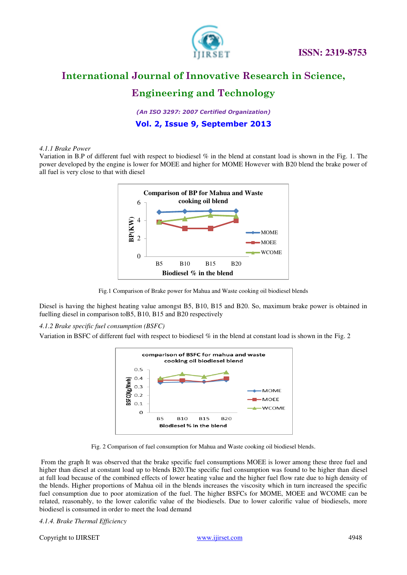

 **ISSN: 2319-8753** 

### **International Journal of Innovative Research in Science,**

### **Engineering and Technology**

*(An ISO 3297: 2007 Certified Organization)* 

**Vol. 2, Issue 9, September 2013**

#### *4.1.1 Brake Power*

Variation in B.P of different fuel with respect to biodiesel % in the blend at constant load is shown in the Fig. 1. The power developed by the engine is lower for MOEE and higher for MOME However with B20 blend the brake power of all fuel is very close to that with diesel



Fig.1 Comparison of Brake power for Mahua and Waste cooking oil biodiesel blends

Diesel is having the highest heating value amongst B5, B10, B15 and B20. So, maximum brake power is obtained in fuelling diesel in comparison toB5, B10, B15 and B20 respectively

#### *4.1.2 Brake specific fuel consumption (BSFC)*

Variation in BSFC of different fuel with respect to biodiesel % in the blend at constant load is shown in the Fig. 2

![](_page_4_Figure_13.jpeg)

Fig. 2 Comparison of fuel consumption for Mahua and Waste cooking oil biodiesel blends.

 From the graph It was observed that the brake specific fuel consumptions MOEE is lower among these three fuel and higher than diesel at constant load up to blends B20.The specific fuel consumption was found to be higher than diesel at full load because of the combined effects of lower heating value and the higher fuel flow rate due to high density of the blends. Higher proportions of Mahua oil in the blends increases the viscosity which in turn increased the specific fuel consumption due to poor atomization of the fuel. The higher BSFCs for MOME, MOEE and WCOME can be related, reasonably, to the lower calorific value of the biodiesels. Due to lower calorific value of biodiesels, more biodiesel is consumed in order to meet the load demand

*4.1.4. Brake Thermal Efficiency* 

Copyright to IJIRSET www.ijirset.com 4948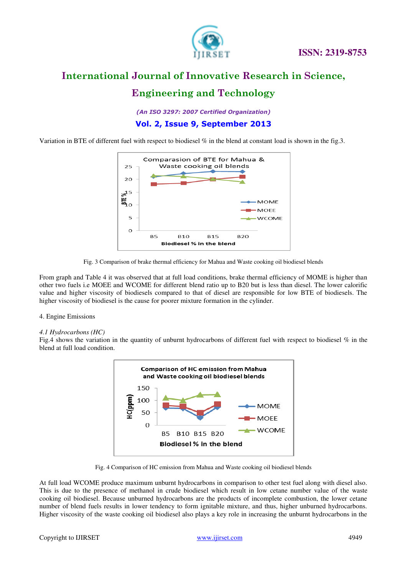![](_page_5_Picture_0.jpeg)

### **Engineering and Technology**

*(An ISO 3297: 2007 Certified Organization)* 

### **Vol. 2, Issue 9, September 2013**

Variation in BTE of different fuel with respect to biodiesel % in the blend at constant load is shown in the fig.3.

![](_page_5_Figure_7.jpeg)

![](_page_5_Figure_8.jpeg)

From graph and Table 4 it was observed that at full load conditions, brake thermal efficiency of MOME is higher than other two fuels i.e MOEE and WCOME for different blend ratio up to B20 but is less than diesel. The lower calorific value and higher viscosity of biodiesels compared to that of diesel are responsible for low BTE of biodiesels. The higher viscosity of biodiesel is the cause for poorer mixture formation in the cylinder.

#### 4. Engine Emissions

#### *4.1 Hydrocarbons (HC)*

Fig.4 shows the variation in the quantity of unburnt hydrocarbons of different fuel with respect to biodiesel % in the blend at full load condition.

![](_page_5_Figure_13.jpeg)

Fig. 4 Comparison of HC emission from Mahua and Waste cooking oil biodiesel blends

At full load WCOME produce maximum unburnt hydrocarbons in comparison to other test fuel along with diesel also. This is due to the presence of methanol in crude biodiesel which result in low cetane number value of the waste cooking oil biodiesel. Because unburned hydrocarbons are the products of incomplete combustion, the lower cetane number of blend fuels results in lower tendency to form ignitable mixture, and thus, higher unburned hydrocarbons. Higher viscosity of the waste cooking oil biodiesel also plays a key role in increasing the unburnt hydrocarbons in the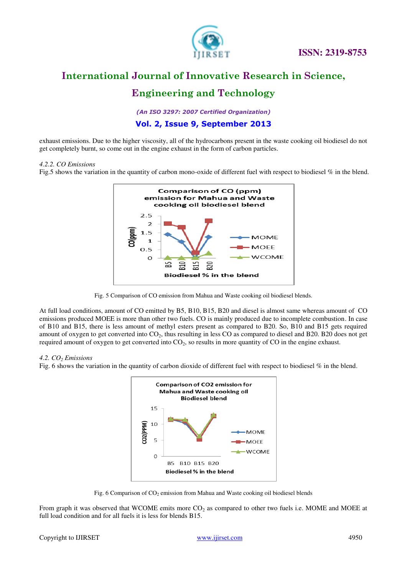![](_page_6_Picture_0.jpeg)

 **ISSN: 2319-8753** 

## **International Journal of Innovative Research in Science,**

### **Engineering and Technology**

*(An ISO 3297: 2007 Certified Organization)* 

### **Vol. 2, Issue 9, September 2013**

exhaust emissions. Due to the higher viscosity, all of the hydrocarbons present in the waste cooking oil biodiesel do not get completely burnt, so come out in the engine exhaust in the form of carbon particles.

#### *4.2.2. CO Emissions*

Fig.5 shows the variation in the quantity of carbon mono-oxide of different fuel with respect to biodiesel % in the blend.

![](_page_6_Figure_9.jpeg)

Fig. 5 Comparison of CO emission from Mahua and Waste cooking oil biodiesel blends.

At full load conditions, amount of CO emitted by B5, B10, B15, B20 and diesel is almost same whereas amount of CO emissions produced MOEE is more than other two fuels. CO is mainly produced due to incomplete combustion. In case of B10 and B15, there is less amount of methyl esters present as compared to B20. So, B10 and B15 gets required amount of oxygen to get converted into  $CO<sub>2</sub>$ , thus resulting in less CO as compared to diesel and B20. B20 does not get required amount of oxygen to get converted into  $CO<sub>2</sub>$ , so results in more quantity of CO in the engine exhaust.

#### *4.2. CO2 Emissions*

Fig. 6 shows the variation in the quantity of carbon dioxide of different fuel with respect to biodiesel % in the blend.

![](_page_6_Figure_14.jpeg)

Fig. 6 Comparison of  $CO_2$  emission from Mahua and Waste cooking oil biodiesel blends

From graph it was observed that WCOME emits more  $CO<sub>2</sub>$  as compared to other two fuels i.e. MOME and MOEE at full load condition and for all fuels it is less for blends B15.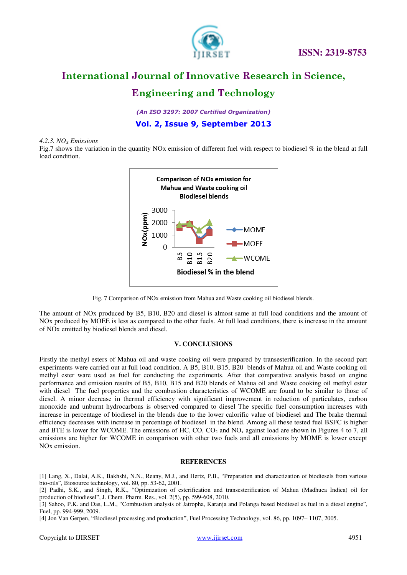![](_page_7_Picture_0.jpeg)

 **ISSN: 2319-8753** 

### **International Journal of Innovative Research in Science,**

### **Engineering and Technology**

*(An ISO 3297: 2007 Certified Organization)* 

**Vol. 2, Issue 9, September 2013**

#### *4.2.3. NOX Emissions*

Fig.7 shows the variation in the quantity NOx emission of different fuel with respect to biodiesel % in the blend at full load condition.

![](_page_7_Figure_8.jpeg)

Fig. 7 Comparison of NOx emission from Mahua and Waste cooking oil biodiesel blends.

The amount of NOx produced by B5, B10, B20 and diesel is almost same at full load conditions and the amount of NOx produced by MOEE is less as compared to the other fuels. At full load conditions, there is increase in the amount of NOx emitted by biodiesel blends and diesel.

#### **V. CONCLUSIONS**

Firstly the methyl esters of Mahua oil and waste cooking oil were prepared by transesterification. In the second part experiments were carried out at full load condition. A B5, B10, B15, B20 blends of Mahua oil and Waste cooking oil methyl ester ware used as fuel for conducting the experiments. After that comparative analysis based on engine performance and emission results of B5, B10, B15 and B20 blends of Mahua oil and Waste cooking oil methyl ester with diesel The fuel properties and the combustion characteristics of WCOME are found to be similar to those of diesel. A minor decrease in thermal efficiency with significant improvement in reduction of particulates, carbon monoxide and unburnt hydrocarbons is observed compared to diesel The specific fuel consumption increases with increase in percentage of biodiesel in the blends due to the lower calorific value of biodiesel and The brake thermal efficiency decreases with increase in percentage of biodiesel in the blend. Among all these tested fuel BSFC is higher and BTE is lower for WCOME. The emissions of HC,  $CO$ ,  $CO<sub>2</sub>$  and  $NO<sub>x</sub>$  against load are shown in Figures 4 to 7, all emissions are higher for WCOME in comparison with other two fuels and all emissions by MOME is lower except NOx emission.

#### **REFERENCES**

[1] Lang, X., Dalai, A.K., Bakhshi, N.N., Reany, M.J., and Hertz, P.B., "Preparation and charactization of biodiesels from various bio-oils", Biosource technology, vol. 80, pp. 53-62, 2001.

[2] Padhi, S.K., and Singh, R.K., "Optimization of esterification and transesterification of Mahua (Madhuca Indica) oil for production of biodiesel", J. Chem. Pharm. Res., vol. 2(5), pp. 599-608, 2010.

[3] Sahoo, P.K. and Das, L.M., "Combustion analysis of Jatropha, Karanja and Polanga based biodiesel as fuel in a diesel engine", Fuel, pp. 994-999, 2009.

[4] Jon Van Gerpen, "Biodiesel processing and production", Fuel Processing Technology, vol. 86, pp. 1097– 1107, 2005.